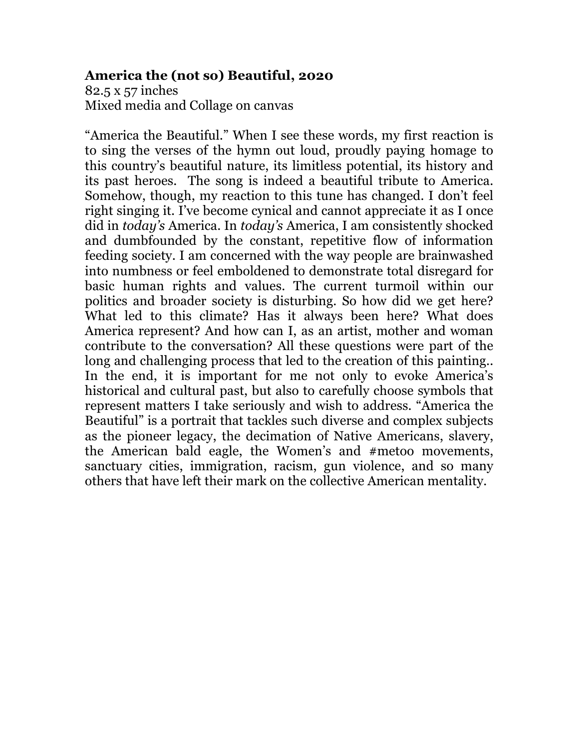### **America the (not so) Beautiful, 2020**

82.5 x 57 inches Mixed media and Collage on canvas

"America the Beautiful." When I see these words, my first reaction is to sing the verses of the hymn out loud, proudly paying homage to this country's beautiful nature, its limitless potential, its history and its past heroes. The song is indeed a beautiful tribute to America. Somehow, though, my reaction to this tune has changed. I don't feel right singing it. I've become cynical and cannot appreciate it as I once did in *today's* America. In *today's* America, I am consistently shocked and dumbfounded by the constant, repetitive flow of information feeding society. I am concerned with the way people are brainwashed into numbness or feel emboldened to demonstrate total disregard for basic human rights and values. The current turmoil within our politics and broader society is disturbing. So how did we get here? What led to this climate? Has it always been here? What does America represent? And how can I, as an artist, mother and woman contribute to the conversation? All these questions were part of the long and challenging process that led to the creation of this painting.. In the end, it is important for me not only to evoke America's historical and cultural past, but also to carefully choose symbols that represent matters I take seriously and wish to address. "America the Beautiful" is a portrait that tackles such diverse and complex subjects as the pioneer legacy, the decimation of Native Americans, slavery, the American bald eagle, the Women's and #metoo movements, sanctuary cities, immigration, racism, gun violence, and so many others that have left their mark on the collective American mentality.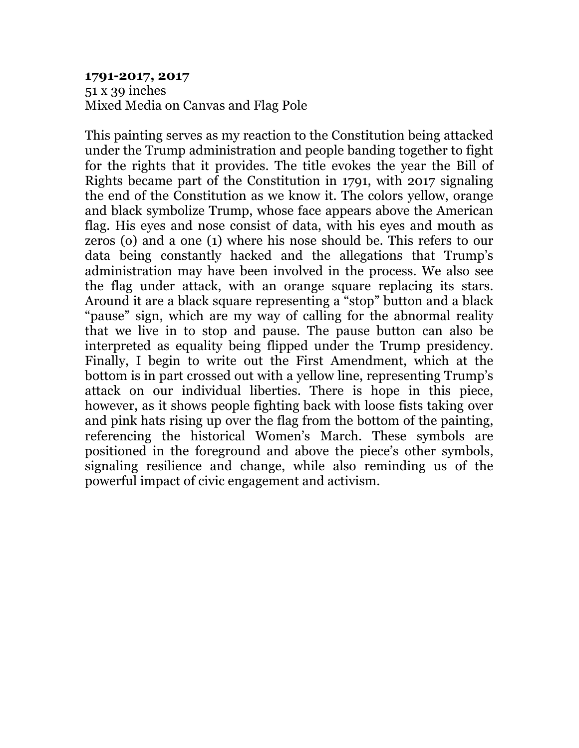#### **1791-2017, 2017** 51 x 39 inches Mixed Media on Canvas and Flag Pole

This painting serves as my reaction to the Constitution being attacked under the Trump administration and people banding together to fight for the rights that it provides. The title evokes the year the Bill of Rights became part of the Constitution in 1791, with 2017 signaling the end of the Constitution as we know it. The colors yellow, orange and black symbolize Trump, whose face appears above the American flag. His eyes and nose consist of data, with his eyes and mouth as zeros (o) and a one (1) where his nose should be. This refers to our data being constantly hacked and the allegations that Trump's administration may have been involved in the process. We also see the flag under attack, with an orange square replacing its stars. Around it are a black square representing a "stop" button and a black "pause" sign, which are my way of calling for the abnormal reality that we live in to stop and pause. The pause button can also be interpreted as equality being flipped under the Trump presidency. Finally, I begin to write out the First Amendment, which at the bottom is in part crossed out with a yellow line, representing Trump's attack on our individual liberties. There is hope in this piece, however, as it shows people fighting back with loose fists taking over and pink hats rising up over the flag from the bottom of the painting, referencing the historical Women's March. These symbols are positioned in the foreground and above the piece's other symbols, signaling resilience and change, while also reminding us of the powerful impact of civic engagement and activism.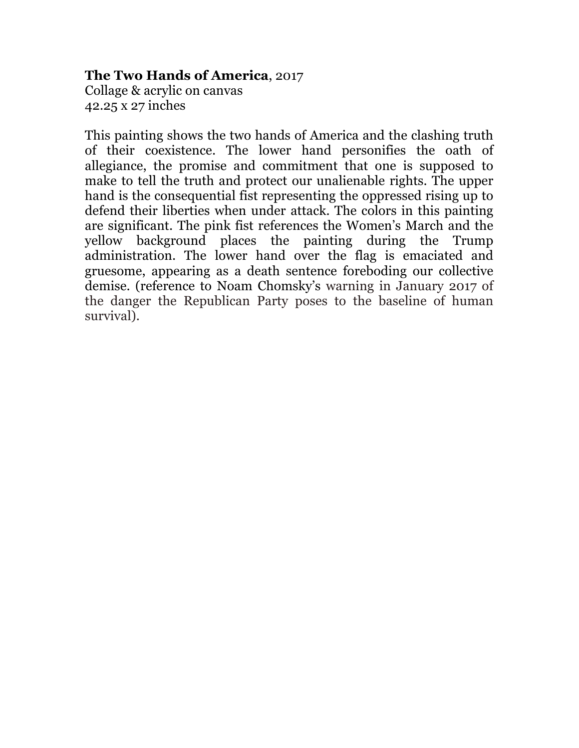### **The Two Hands of America**, 2017

Collage & acrylic on canvas 42.25 x 27 inches

This painting shows the two hands of America and the clashing truth of their coexistence. The lower hand personifies the oath of allegiance, the promise and commitment that one is supposed to make to tell the truth and protect our unalienable rights. The upper hand is the consequential fist representing the oppressed rising up to defend their liberties when under attack. The colors in this painting are significant. The pink fist references the Women's March and the yellow background places the painting during the Trump administration. The lower hand over the flag is emaciated and gruesome, appearing as a death sentence foreboding our collective demise. (reference to Noam Chomsky's warning in January 2017 of the danger the Republican Party poses to the baseline of human survival).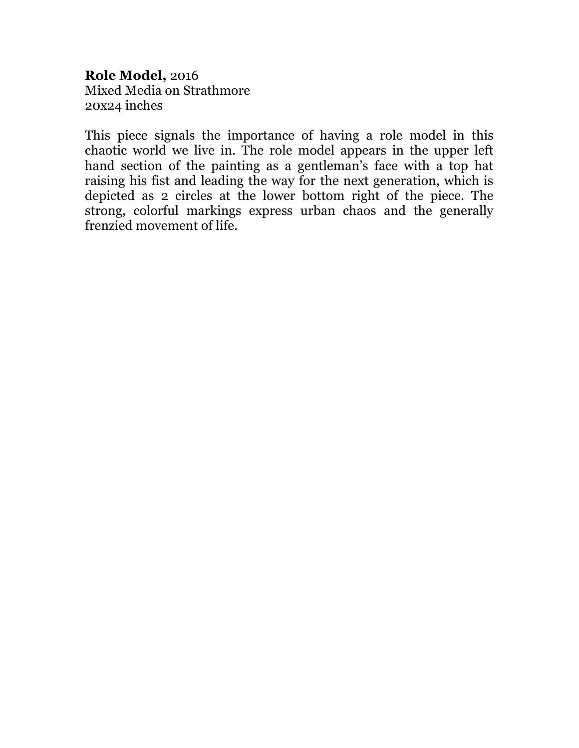**Role Model,** 2016 Mixed Media on Strathmore 20x24 inches

This piece signals the importance of having a role model in this chaotic world we live in. The role model appears in the upper left hand section of the painting as a gentleman's face with a top hat raising his fist and leading the way for the next generation, which is depicted as 2 circles at the lower bottom right of the piece. The strong, colorful markings express urban chaos and the generally frenzied movement of life.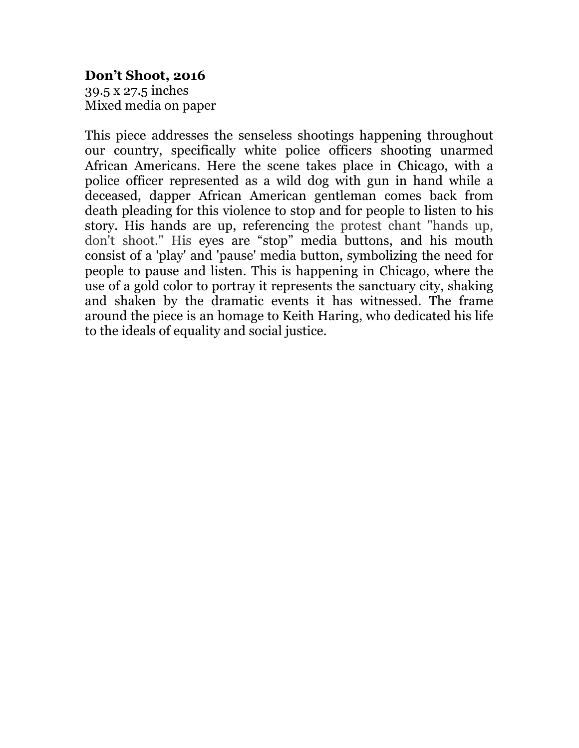## **Don't Shoot, 2016**

39.5 x 27.5 inches Mixed media on paper

This piece addresses the senseless shootings happening throughout our country, specifically white police officers shooting unarmed African Americans. Here the scene takes place in Chicago, with a police officer represented as a wild dog with gun in hand while a deceased, dapper African American gentleman comes back from death pleading for this violence to stop and for people to listen to his story. His hands are up, referencing the protest chant "hands up, don't shoot." His eyes are "stop" media buttons, and his mouth consist of a 'play' and 'pause' media button, symbolizing the need for people to pause and listen. This is happening in Chicago, where the use of a gold color to portray it represents the sanctuary city, shaking and shaken by the dramatic events it has witnessed. The frame around the piece is an homage to Keith Haring, who dedicated his life to the ideals of equality and social justice.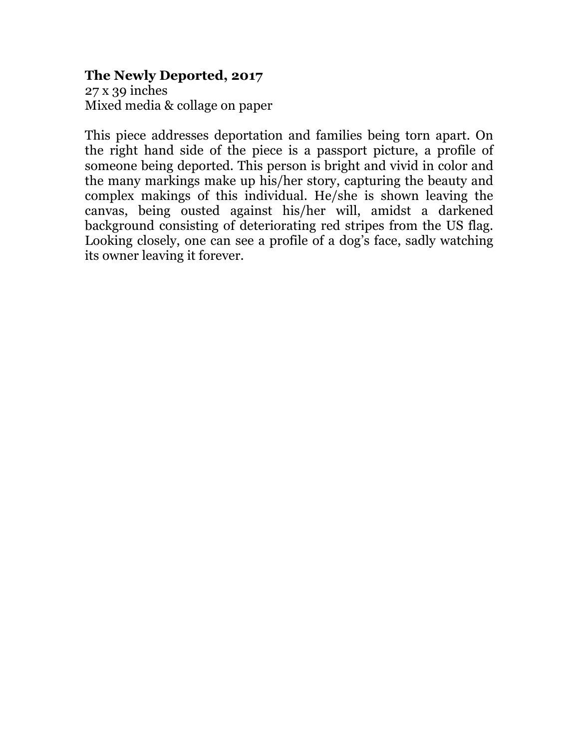## **The Newly Deported, 2017**

27 x 39 inches Mixed media & collage on paper

This piece addresses deportation and families being torn apart. On the right hand side of the piece is a passport picture, a profile of someone being deported. This person is bright and vivid in color and the many markings make up his/her story, capturing the beauty and complex makings of this individual. He/she is shown leaving the canvas, being ousted against his/her will, amidst a darkened background consisting of deteriorating red stripes from the US flag. Looking closely, one can see a profile of a dog's face, sadly watching its owner leaving it forever.